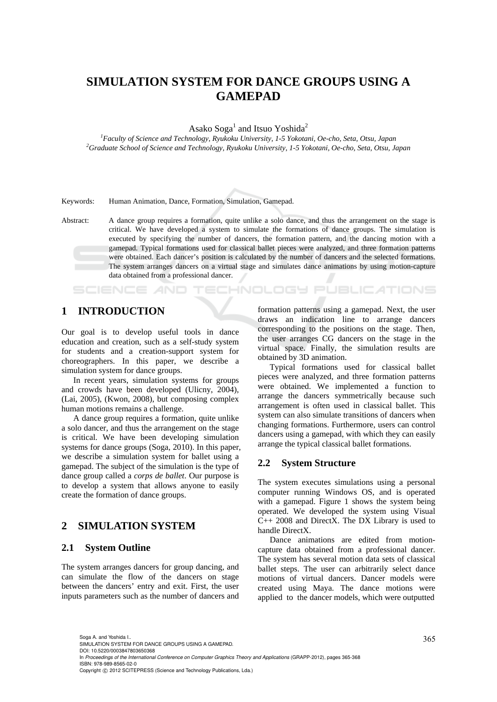# **SIMULATION SYSTEM FOR DANCE GROUPS USING A GAMEPAD**

Asako Soga<sup>1</sup> and Itsuo Yoshida<sup>2</sup>

<sup>1</sup> Faculty of Science and Technology, Ryukoku University, 1-5 Yokotani, Oe-cho, Seta, Otsu, Japan <sup>2</sup>Craduate School of Science and Technology, Ryukoku University, 1-5 Yokotani, Oe-cho, Seta, Otsu, Japan *Graduate School of Science and Technology, Ryukoku University, 1-5 Yokotani, Oe-cho, Seta, Otsu, Japan* 

Keywords: Human Animation, Dance, Formation, Simulation, Gamepad.

Abstract: A dance group requires a formation, quite unlike a solo dance, and thus the arrangement on the stage is critical. We have developed a system to simulate the formations of dance groups. The simulation is executed by specifying the number of dancers, the formation pattern, and the dancing motion with a gamepad. Typical formations used for classical ballet pieces were analyzed, and three formation patterns were obtained. Each dancer's position is calculated by the number of dancers and the selected formations. The system arranges dancers on a virtual stage and simulates dance animations by using motion-capture data obtained from a professional dancer.

## **1 INTRODUCTION**

**SCIENCE AND** 

Our goal is to develop useful tools in dance education and creation, such as a self-study system for students and a creation-support system for choreographers. In this paper, we describe a simulation system for dance groups.

In recent years, simulation systems for groups and crowds have been developed (Ulicny, 2004), (Lai, 2005), (Kwon, 2008), but composing complex human motions remains a challenge.

A dance group requires a formation, quite unlike a solo dancer, and thus the arrangement on the stage is critical. We have been developing simulation systems for dance groups (Soga, 2010). In this paper, we describe a simulation system for ballet using a gamepad. The subject of the simulation is the type of dance group called a *corps de ballet*. Our purpose is to develop a system that allows anyone to easily create the formation of dance groups.

## **2 SIMULATION SYSTEM**

### **2.1 System Outline**

The system arranges dancers for group dancing, and can simulate the flow of the dancers on stage between the dancers' entry and exit. First, the user inputs parameters such as the number of dancers and formation patterns using a gamepad. Next, the user draws an indication line to arrange dancers corresponding to the positions on the stage. Then, the user arranges CG dancers on the stage in the virtual space. Finally, the simulation results are obtained by 3D animation.

**IHNOLOGY PUBLICATIONS** 

Typical formations used for classical ballet pieces were analyzed, and three formation patterns were obtained. We implemented a function to arrange the dancers symmetrically because such arrangement is often used in classical ballet. This system can also simulate transitions of dancers when changing formations. Furthermore, users can control dancers using a gamepad, with which they can easily arrange the typical classical ballet formations.

#### **2.2 System Structure**

The system executes simulations using a personal computer running Windows OS, and is operated with a gamepad. Figure 1 shows the system being operated. We developed the system using Visual C++ 2008 and DirectX. The DX Library is used to handle DirectX.

Dance animations are edited from motioncapture data obtained from a professional dancer. The system has several motion data sets of classical ballet steps. The user can arbitrarily select dance motions of virtual dancers. Dancer models were created using Maya. The dance motions were applied to the dancer models, which were outputted

365 Soga A. and Yoshida I.. SIMULATION SYSTEM FOR DANCE GROUPS USING A GAMEPAD.

DOI: 10.5220/0003847803650368

In *Proceedings of the International Conference on Computer Graphics Theory and Applications* (GRAPP-2012), pages 365-368 ISBN: 978-989-8565-02-0

Copyright © 2012 SCITEPRESS (Science and Technology Publications, Lda.)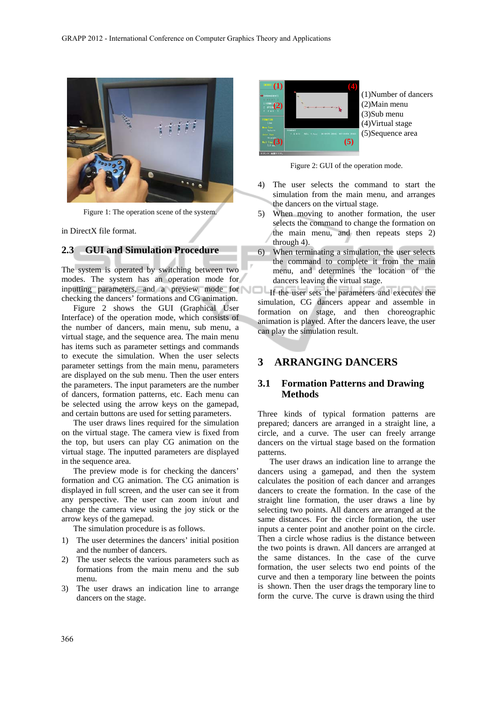

Figure 1: The operation scene of the system.

in DirectX file format.

## **2.3 GUI and Simulation Procedure**

The system is operated by switching between two modes. The system has an operation mode for inputting parameters, and a preview mode for checking the dancers' formations and CG animation.

Figure 2 shows the GUI (Graphical User Interface) of the operation mode, which consists of the number of dancers, main menu, sub menu, a virtual stage, and the sequence area. The main menu has items such as parameter settings and commands to execute the simulation. When the user selects parameter settings from the main menu, parameters are displayed on the sub menu. Then the user enters the parameters. The input parameters are the number of dancers, formation patterns, etc. Each menu can be selected using the arrow keys on the gamepad, and certain buttons are used for setting parameters.

The user draws lines required for the simulation on the virtual stage. The camera view is fixed from the top, but users can play CG animation on the virtual stage. The inputted parameters are displayed in the sequence area.

The preview mode is for checking the dancers' formation and CG animation. The CG animation is displayed in full screen, and the user can see it from any perspective. The user can zoom in/out and change the camera view using the joy stick or the arrow keys of the gamepad.

The simulation procedure is as follows.

- 1) The user determines the dancers' initial position and the number of dancers.
- 2) The user selects the various parameters such as formations from the main menu and the sub menu.
- 3) The user draws an indication line to arrange dancers on the stage.



(1)Number of dancers (2)Main menu (3)Sub menu (4)Virtual stage (5)Sequence area

Figure 2: GUI of the operation mode.

- 4) The user selects the command to start the simulation from the main menu, and arranges the dancers on the virtual stage.
- 5) When moving to another formation, the user selects the command to change the formation on the main menu, and then repeats steps 2) through 4).
- 6) When terminating a simulation, the user selects the command to complete it from the main menu, and determines the location of the dancers leaving the virtual stage.

If the user sets the parameters and executes the simulation, CG dancers appear and assemble in formation on stage, and then choreographic animation is played. After the dancers leave, the user can play the simulation result.

# **3 ARRANGING DANCERS**

### **3.1 Formation Patterns and Drawing Methods**

Three kinds of typical formation patterns are prepared; dancers are arranged in a straight line, a circle, and a curve. The user can freely arrange dancers on the virtual stage based on the formation patterns.

The user draws an indication line to arrange the dancers using a gamepad, and then the system calculates the position of each dancer and arranges dancers to create the formation. In the case of the straight line formation, the user draws a line by selecting two points. All dancers are arranged at the same distances. For the circle formation, the user inputs a center point and another point on the circle. Then a circle whose radius is the distance between the two points is drawn. All dancers are arranged at the same distances. In the case of the curve formation, the user selects two end points of the curve and then a temporary line between the points is shown. Then the user drags the temporary line to form the curve. The curve is drawn using the third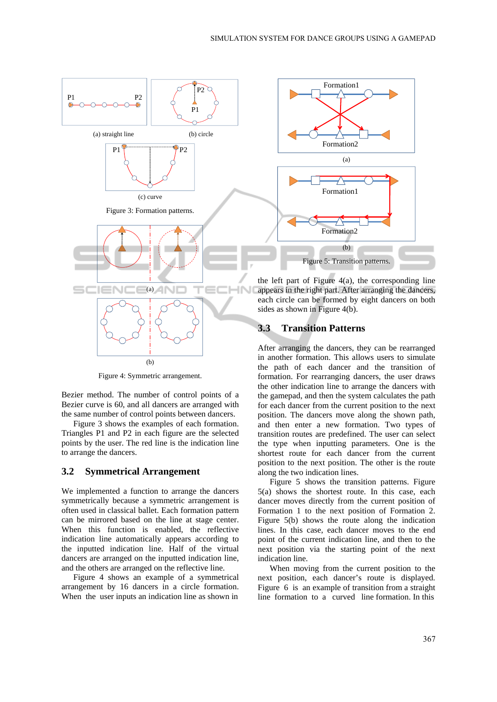

Figure 4: Symmetric arrangement.

Bezier method. The number of control points of a Bezier curve is 60, and all dancers are arranged with the same number of control points between dancers.

Figure 3 shows the examples of each formation. Triangles P1 and P2 in each figure are the selected points by the user. The red line is the indication line to arrange the dancers.

### **3.2 Symmetrical Arrangement**

We implemented a function to arrange the dancers symmetrically because a symmetric arrangement is often used in classical ballet. Each formation pattern can be mirrored based on the line at stage center. When this function is enabled, the reflective indication line automatically appears according to the inputted indication line. Half of the virtual dancers are arranged on the inputted indication line, and the others are arranged on the reflective line.

Figure 4 shows an example of a symmetrical arrangement by 16 dancers in a circle formation. When the user inputs an indication line as shown in



the left part of Figure  $4(a)$ , the corresponding line appears in the right part. After arranging the dancers, each circle can be formed by eight dancers on both sides as shown in Figure 4(b).

### **3.3 Transition Patterns**

After arranging the dancers, they can be rearranged in another formation. This allows users to simulate the path of each dancer and the transition of formation. For rearranging dancers, the user draws the other indication line to arrange the dancers with the gamepad, and then the system calculates the path for each dancer from the current position to the next position. The dancers move along the shown path, and then enter a new formation. Two types of transition routes are predefined. The user can select the type when inputting parameters. One is the shortest route for each dancer from the current position to the next position. The other is the route along the two indication lines.

Figure 5 shows the transition patterns. Figure 5(a) shows the shortest route. In this case, each dancer moves directly from the current position of Formation 1 to the next position of Formation 2. Figure 5(b) shows the route along the indication lines. In this case, each dancer moves to the end point of the current indication line, and then to the next position via the starting point of the next indication line.

When moving from the current position to the next position, each dancer's route is displayed. Figure 6 is an example of transition from a straight line formation to a curved line formation. In this